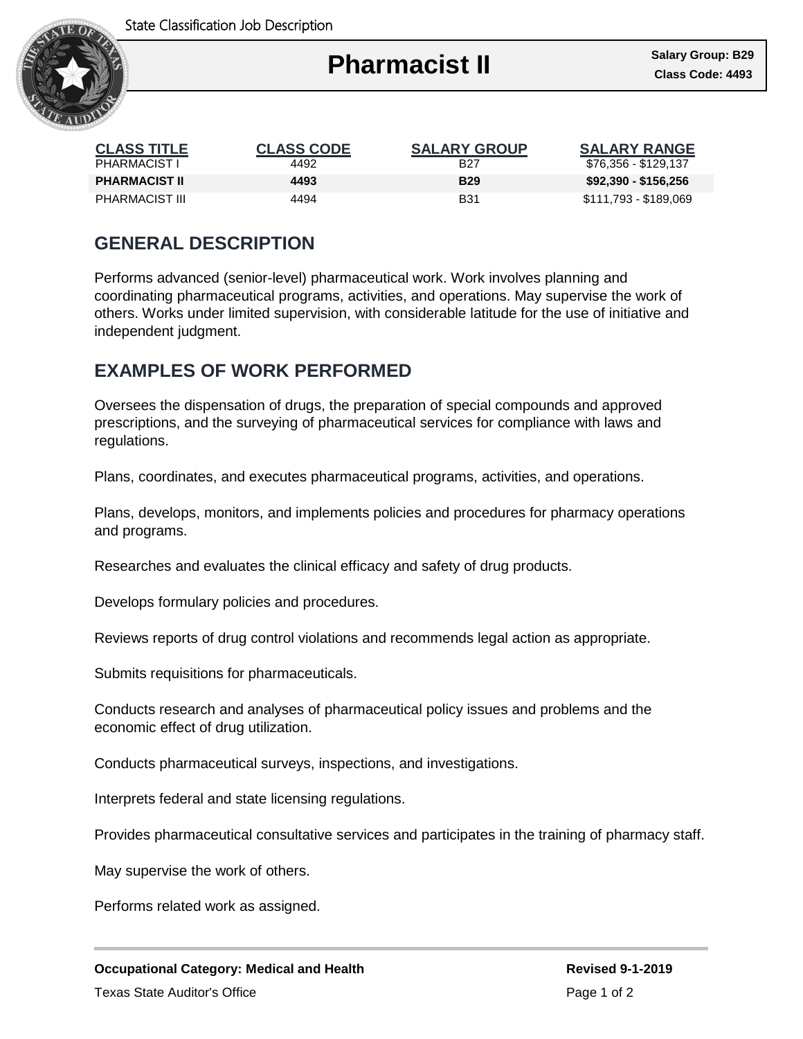

| <b>CLASS TITLE</b>   | <b>CLASS CODE</b> | <b>SALARY GROUP</b> | <b>SALARY RANGE</b>   |
|----------------------|-------------------|---------------------|-----------------------|
| <b>PHARMACIST I</b>  | 4492              | B27                 | \$76,356 - \$129,137  |
| <b>PHARMACIST II</b> | 4493              | <b>B29</b>          | \$92,390 - \$156,256  |
| PHARMACIST III       | 4494              | <b>B31</b>          | \$111,793 - \$189,069 |

## **GENERAL DESCRIPTION**

Performs advanced (senior-level) pharmaceutical work. Work involves planning and coordinating pharmaceutical programs, activities, and operations. May supervise the work of others. Works under limited supervision, with considerable latitude for the use of initiative and independent judgment.

## **EXAMPLES OF WORK PERFORMED**

Oversees the dispensation of drugs, the preparation of special compounds and approved prescriptions, and the surveying of pharmaceutical services for compliance with laws and regulations.

Plans, coordinates, and executes pharmaceutical programs, activities, and operations.

Plans, develops, monitors, and implements policies and procedures for pharmacy operations and programs.

Researches and evaluates the clinical efficacy and safety of drug products.

Develops formulary policies and procedures.

Reviews reports of drug control violations and recommends legal action as appropriate.

Submits requisitions for pharmaceuticals.

Conducts research and analyses of pharmaceutical policy issues and problems and the economic effect of drug utilization.

Conducts pharmaceutical surveys, inspections, and investigations.

Interprets federal and state licensing regulations.

Provides pharmaceutical consultative services and participates in the training of pharmacy staff.

May supervise the work of others.

Performs related work as assigned.